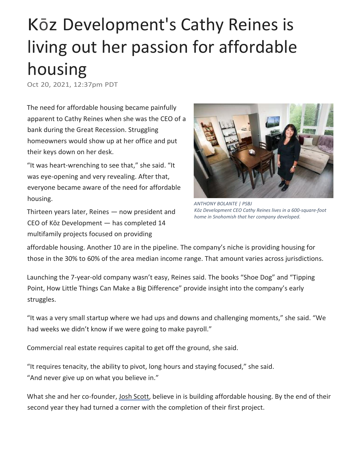## Kōz Development's Cathy Reines is living out her passion for affordable housing

Oct 20, 2021, 12:37pm PDT

The need for affordable housing became painfully apparent to Cathy Reines when she was the CEO of a bank during the Great Recession. Struggling homeowners would show up at her office and put their keys down on her desk.

"It was heart-wrenching to see that," she said. "It was eye-opening and very revealing. After that, everyone became aware of the need for affordable housing.

Thirteen years later, Reines — now president and CEO of Kōz Development — has completed 14 multifamily projects focused on providing



*ANTHONY BOLANTE | PSBJ Kōz Development CEO Cathy Reines lives in a 600-square-foot home in Snohomish that her company developed.*

affordable housing. Another 10 are in the pipeline. The company's niche is providing housing for those in the 30% to 60% of the area median income range. That amount varies across jurisdictions.

Launching the 7-year-old company wasn't easy, Reines said. The books "Shoe Dog" and "Tipping Point, How Little Things Can Make a Big Difference" provide insight into the company's early struggles.

"It was a very small startup where we had ups and downs and challenging moments," she said. "We had weeks we didn't know if we were going to make payroll."

Commercial real estate requires capital to get off the ground, she said.

"It requires tenacity, the ability to pivot, long hours and staying focused," she said. "And never give up on what you believe in."

What she and her co-founder, [Josh Scott,](https://www.bizjournals.com/seattle/search/results?q=Josh%20Scott) believe in is building affordable housing. By the end of their second year they had turned a corner with the completion of their first project.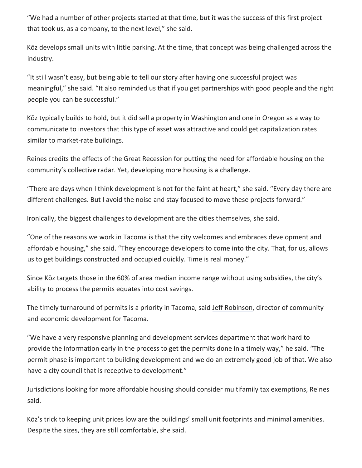"We had a number of other projects started at that time, but it was the success of this first project that took us, as a company, to the next level," she said.

Kōz develops small units with little parking. At the time, that concept was being challenged across the industry.

"It still wasn't easy, but being able to tell our story after having one successful project was meaningful," she said. "It also reminded us that if you get partnerships with good people and the right people you can be successful."

Kōz typically builds to hold, but it did sell a property in Washington and one in Oregon as a way to communicate to investors that this type of asset was attractive and could get capitalization rates similar to market-rate buildings.

Reines credits the effects of the Great Recession for putting the need for affordable housing on the community's collective radar. Yet, developing more housing is a challenge.

"There are days when I think development is not for the faint at heart," she said. "Every day there are different challenges. But I avoid the noise and stay focused to move these projects forward."

Ironically, the biggest challenges to development are the cities themselves, she said.

"One of the reasons we work in Tacoma is that the city welcomes and embraces development and affordable housing," she said. "They encourage developers to come into the city. That, for us, allows us to get buildings constructed and occupied quickly. Time is real money."

Since Kōz targets those in the 60% of area median income range without using subsidies, the city's ability to process the permits equates into cost savings.

The timely turnaround of permits is a priority in Tacoma, said [Jeff Robinson,](https://www.bizjournals.com/seattle/search/results?q=Jeff%20Robinson) director of community and economic development for Tacoma.

"We have a very responsive planning and development services department that work hard to provide the information early in the process to get the permits done in a timely way," he said. "The permit phase is important to building development and we do an extremely good job of that. We also have a city council that is receptive to development."

Jurisdictions looking for more affordable housing should consider multifamily tax exemptions, Reines said.

Kōz's trick to keeping unit prices low are the buildings' small unit footprints and minimal amenities. Despite the sizes, they are still comfortable, she said.